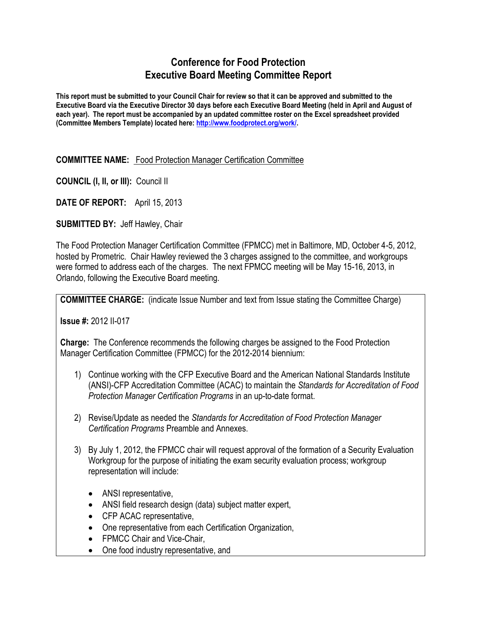# **Conference for Food Protection Executive Board Meeting Committee Report**

**This report must be submitted to your Council Chair for review so that it can be approved and submitted to the Executive Board via the Executive Director 30 days before each Executive Board Meeting (held in April and August of each year). The report must be accompanied by an updated committee roster on the Excel spreadsheet provided (Committee Members Template) located here: [http://www.foodprotect.org/work/.](http://www.foodprotect.org/work/)**

#### **COMMITTEE NAME:** Food Protection Manager Certification Committee

**COUNCIL (I, II, or III):** Council II

**DATE OF REPORT:** April 15, 2013

**SUBMITTED BY:** Jeff Hawley, Chair

The Food Protection Manager Certification Committee (FPMCC) met in Baltimore, MD, October 4-5, 2012, hosted by Prometric. Chair Hawley reviewed the 3 charges assigned to the committee, and workgroups were formed to address each of the charges. The next FPMCC meeting will be May 15-16, 2013, in Orlando, following the Executive Board meeting.

**COMMITTEE CHARGE:** (indicate Issue Number and text from Issue stating the Committee Charge)

**Issue #:** 2012 II-017

**Charge:** The Conference recommends the following charges be assigned to the Food Protection Manager Certification Committee (FPMCC) for the 2012-2014 biennium:

- 1) Continue working with the CFP Executive Board and the American National Standards Institute (ANSI)-CFP Accreditation Committee (ACAC) to maintain the *Standards for Accreditation of Food Protection Manager Certification Programs* in an up-to-date format.
- 2) Revise/Update as needed the *Standards for Accreditation of Food Protection Manager Certification Programs* Preamble and Annexes.
- 3) By July 1, 2012, the FPMCC chair will request approval of the formation of a Security Evaluation Workgroup for the purpose of initiating the exam security evaluation process; workgroup representation will include:
	- ANSI representative,
	- ANSI field research design (data) subject matter expert,
	- CFP ACAC representative,
	- One representative from each Certification Organization,
	- FPMCC Chair and Vice-Chair,
	- One food industry representative, and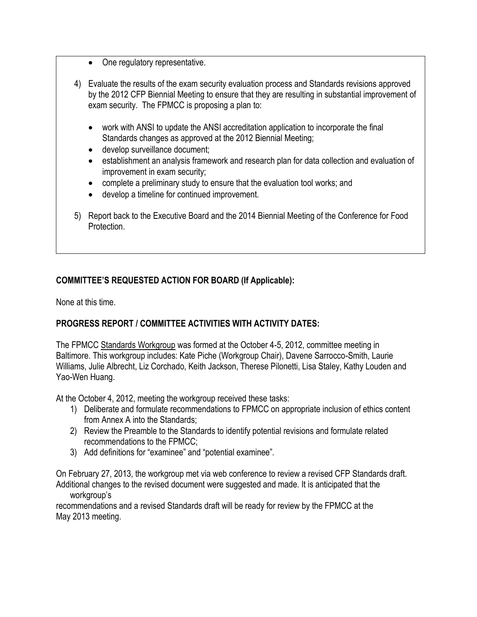- One regulatory representative.
- 4) Evaluate the results of the exam security evaluation process and Standards revisions approved by the 2012 CFP Biennial Meeting to ensure that they are resulting in substantial improvement of exam security. The FPMCC is proposing a plan to:
	- work with ANSI to update the ANSI accreditation application to incorporate the final Standards changes as approved at the 2012 Biennial Meeting;
	- develop surveillance document;
	- establishment an analysis framework and research plan for data collection and evaluation of improvement in exam security;
	- complete a preliminary study to ensure that the evaluation tool works; and
	- develop a timeline for continued improvement.
- 5) Report back to the Executive Board and the 2014 Biennial Meeting of the Conference for Food Protection.

# **COMMITTEE'S REQUESTED ACTION FOR BOARD (If Applicable):**

None at this time.

# **PROGRESS REPORT / COMMITTEE ACTIVITIES WITH ACTIVITY DATES:**

The FPMCC Standards Workgroup was formed at the October 4-5, 2012, committee meeting in Baltimore. This workgroup includes: Kate Piche (Workgroup Chair), Davene Sarrocco-Smith, Laurie Williams, Julie Albrecht, Liz Corchado, Keith Jackson, Therese Pilonetti, Lisa Staley, Kathy Louden and Yao-Wen Huang.

At the October 4, 2012, meeting the workgroup received these tasks:

- 1) Deliberate and formulate recommendations to FPMCC on appropriate inclusion of ethics content from Annex A into the Standards;
- 2) Review the Preamble to the Standards to identify potential revisions and formulate related recommendations to the FPMCC;
- 3) Add definitions for "examinee" and "potential examinee".

On February 27, 2013, the workgroup met via web conference to review a revised CFP Standards draft. Additional changes to the revised document were suggested and made. It is anticipated that the workgroup's

recommendations and a revised Standards draft will be ready for review by the FPMCC at the May 2013 meeting.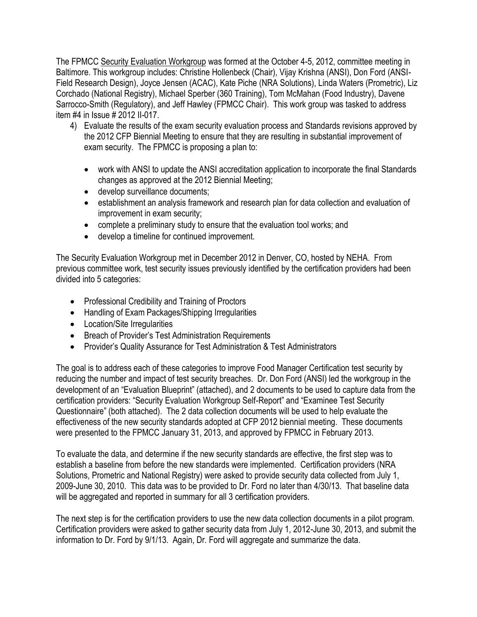The FPMCC Security Evaluation Workgroup was formed at the October 4-5, 2012, committee meeting in Baltimore. This workgroup includes: Christine Hollenbeck (Chair), Vijay Krishna (ANSI), Don Ford (ANSI-Field Research Design), Joyce Jensen (ACAC), Kate Piche (NRA Solutions), Linda Waters (Prometric), Liz Corchado (National Registry), Michael Sperber (360 Training), Tom McMahan (Food Industry), Davene Sarrocco-Smith (Regulatory), and Jeff Hawley (FPMCC Chair). This work group was tasked to address item #4 in Issue # 2012 II-017.

- 4) Evaluate the results of the exam security evaluation process and Standards revisions approved by the 2012 CFP Biennial Meeting to ensure that they are resulting in substantial improvement of exam security. The FPMCC is proposing a plan to:
	- work with ANSI to update the ANSI accreditation application to incorporate the final Standards changes as approved at the 2012 Biennial Meeting;
	- develop surveillance documents;
	- establishment an analysis framework and research plan for data collection and evaluation of improvement in exam security;
	- complete a preliminary study to ensure that the evaluation tool works; and
	- develop a timeline for continued improvement.

The Security Evaluation Workgroup met in December 2012 in Denver, CO, hosted by NEHA. From previous committee work, test security issues previously identified by the certification providers had been divided into 5 categories:

- Professional Credibility and Training of Proctors
- Handling of Exam Packages/Shipping Irregularities
- Location/Site Irregularities
- Breach of Provider's Test Administration Requirements
- Provider's Quality Assurance for Test Administration & Test Administrators

The goal is to address each of these categories to improve Food Manager Certification test security by reducing the number and impact of test security breaches. Dr. Don Ford (ANSI) led the workgroup in the development of an "Evaluation Blueprint" (attached), and 2 documents to be used to capture data from the certification providers: "Security Evaluation Workgroup Self-Report" and "Examinee Test Security Questionnaire" (both attached). The 2 data collection documents will be used to help evaluate the effectiveness of the new security standards adopted at CFP 2012 biennial meeting. These documents were presented to the FPMCC January 31, 2013, and approved by FPMCC in February 2013.

To evaluate the data, and determine if the new security standards are effective, the first step was to establish a baseline from before the new standards were implemented. Certification providers (NRA Solutions, Prometric and National Registry) were asked to provide security data collected from July 1, 2009-June 30, 2010. This data was to be provided to Dr. Ford no later than 4/30/13. That baseline data will be aggregated and reported in summary for all 3 certification providers.

The next step is for the certification providers to use the new data collection documents in a pilot program. Certification providers were asked to gather security data from July 1, 2012-June 30, 2013, and submit the information to Dr. Ford by 9/1/13. Again, Dr. Ford will aggregate and summarize the data.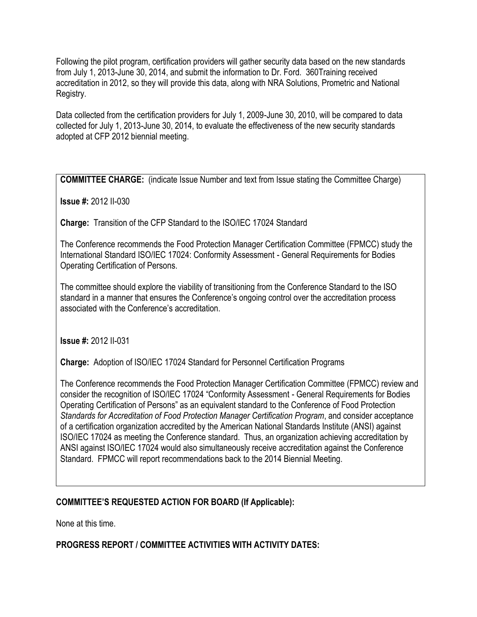Following the pilot program, certification providers will gather security data based on the new standards from July 1, 2013-June 30, 2014, and submit the information to Dr. Ford. 360Training received accreditation in 2012, so they will provide this data, along with NRA Solutions, Prometric and National Registry.

Data collected from the certification providers for July 1, 2009-June 30, 2010, will be compared to data collected for July 1, 2013-June 30, 2014, to evaluate the effectiveness of the new security standards adopted at CFP 2012 biennial meeting.

**COMMITTEE CHARGE:** (indicate Issue Number and text from Issue stating the Committee Charge)

**Issue #:** 2012 II-030

**Charge:** Transition of the CFP Standard to the ISO/IEC 17024 Standard

The Conference recommends the Food Protection Manager Certification Committee (FPMCC) study the International Standard ISO/IEC 17024: Conformity Assessment - General Requirements for Bodies Operating Certification of Persons.

The committee should explore the viability of transitioning from the Conference Standard to the ISO standard in a manner that ensures the Conference's ongoing control over the accreditation process associated with the Conference's accreditation.

**Issue #:** 2012 II-031

**Charge:** Adoption of ISO/IEC 17024 Standard for Personnel Certification Programs

The Conference recommends the Food Protection Manager Certification Committee (FPMCC) review and consider the recognition of ISO/IEC 17024 "Conformity Assessment - General Requirements for Bodies Operating Certification of Persons" as an equivalent standard to the Conference of Food Protection *Standards for Accreditation of Food Protection Manager Certification Program*, and consider acceptance of a certification organization accredited by the American National Standards Institute (ANSI) against ISO/IEC 17024 as meeting the Conference standard. Thus, an organization achieving accreditation by ANSI against ISO/IEC 17024 would also simultaneously receive accreditation against the Conference Standard. FPMCC will report recommendations back to the 2014 Biennial Meeting.

# **COMMITTEE'S REQUESTED ACTION FOR BOARD (If Applicable):**

None at this time.

# **PROGRESS REPORT / COMMITTEE ACTIVITIES WITH ACTIVITY DATES:**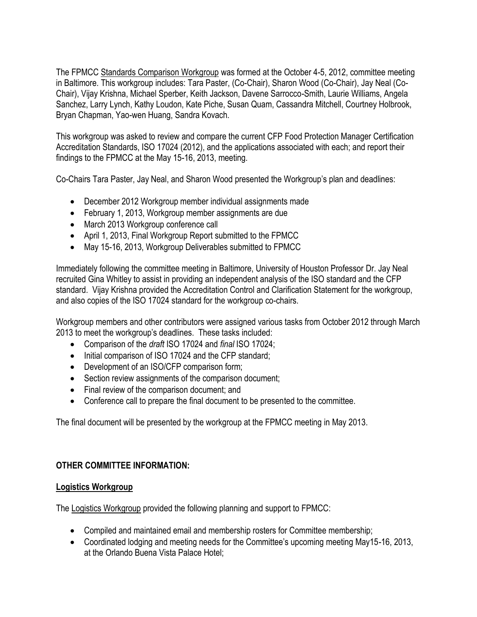The FPMCC Standards Comparison Workgroup was formed at the October 4-5, 2012, committee meeting in Baltimore. This workgroup includes: Tara Paster, (Co-Chair), Sharon Wood (Co-Chair), Jay Neal (Co-Chair), Vijay Krishna, Michael Sperber, Keith Jackson, Davene Sarrocco-Smith, Laurie Williams, Angela Sanchez, Larry Lynch, Kathy Loudon, Kate Piche, Susan Quam, Cassandra Mitchell, Courtney Holbrook, Bryan Chapman, Yao-wen Huang, Sandra Kovach.

This workgroup was asked to review and compare the current CFP Food Protection Manager Certification Accreditation Standards, ISO 17024 (2012), and the applications associated with each; and report their findings to the FPMCC at the May 15-16, 2013, meeting.

Co-Chairs Tara Paster, Jay Neal, and Sharon Wood presented the Workgroup's plan and deadlines:

- December 2012 Workgroup member individual assignments made
- February 1, 2013, Workgroup member assignments are due
- March 2013 Workgroup conference call
- April 1, 2013, Final Workgroup Report submitted to the FPMCC
- May 15-16, 2013, Workgroup Deliverables submitted to FPMCC

Immediately following the committee meeting in Baltimore, University of Houston Professor Dr. Jay Neal recruited Gina Whitley to assist in providing an independent analysis of the ISO standard and the CFP standard. Vijay Krishna provided the Accreditation Control and Clarification Statement for the workgroup, and also copies of the ISO 17024 standard for the workgroup co-chairs.

Workgroup members and other contributors were assigned various tasks from October 2012 through March 2013 to meet the workgroup's deadlines. These tasks included:

- Comparison of the *draft* ISO 17024 and *final* ISO 17024;
- Initial comparison of ISO 17024 and the CFP standard;
- Development of an ISO/CFP comparison form;
- Section review assignments of the comparison document;
- Final review of the comparison document; and
- Conference call to prepare the final document to be presented to the committee.

The final document will be presented by the workgroup at the FPMCC meeting in May 2013.

#### **OTHER COMMITTEE INFORMATION:**

#### **Logistics Workgroup**

The Logistics Workgroup provided the following planning and support to FPMCC:

- Compiled and maintained email and membership rosters for Committee membership;
- Coordinated lodging and meeting needs for the Committee's upcoming meeting May15-16, 2013, at the Orlando Buena Vista Palace Hotel;